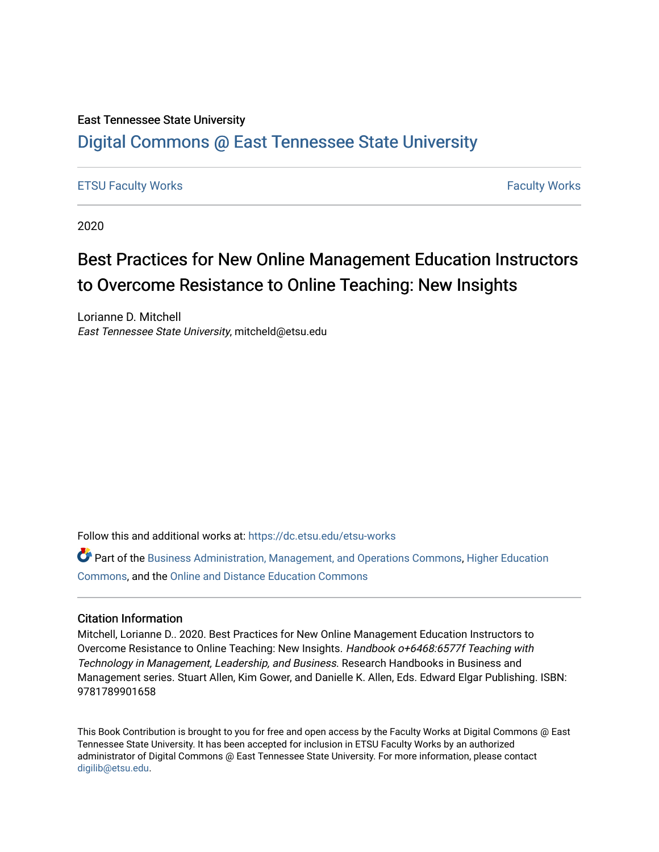# East Tennessee State University

# [Digital Commons @ East Tennessee State University](https://dc.etsu.edu/)

# [ETSU Faculty Works](https://dc.etsu.edu/etsu-works) [Faculty Works](https://dc.etsu.edu/faculty-works)

2020

# Best Practices for New Online Management Education Instructors to Overcome Resistance to Online Teaching: New Insights

Lorianne D. Mitchell East Tennessee State University, mitcheld@etsu.edu

Follow this and additional works at: [https://dc.etsu.edu/etsu-works](https://dc.etsu.edu/etsu-works?utm_source=dc.etsu.edu%2Fetsu-works%2F6771&utm_medium=PDF&utm_campaign=PDFCoverPages) 

Part of the [Business Administration, Management, and Operations Commons](http://network.bepress.com/hgg/discipline/623?utm_source=dc.etsu.edu%2Fetsu-works%2F6771&utm_medium=PDF&utm_campaign=PDFCoverPages), [Higher Education](http://network.bepress.com/hgg/discipline/1245?utm_source=dc.etsu.edu%2Fetsu-works%2F6771&utm_medium=PDF&utm_campaign=PDFCoverPages)  [Commons](http://network.bepress.com/hgg/discipline/1245?utm_source=dc.etsu.edu%2Fetsu-works%2F6771&utm_medium=PDF&utm_campaign=PDFCoverPages), and the [Online and Distance Education Commons](http://network.bepress.com/hgg/discipline/1296?utm_source=dc.etsu.edu%2Fetsu-works%2F6771&utm_medium=PDF&utm_campaign=PDFCoverPages) 

## Citation Information

Mitchell, Lorianne D.. 2020. Best Practices for New Online Management Education Instructors to Overcome Resistance to Online Teaching: New Insights. Handbook o+6468:6577f Teaching with Technology in Management, Leadership, and Business. Research Handbooks in Business and Management series. Stuart Allen, Kim Gower, and Danielle K. Allen, Eds. Edward Elgar Publishing. ISBN: 9781789901658

This Book Contribution is brought to you for free and open access by the Faculty Works at Digital Commons @ East Tennessee State University. It has been accepted for inclusion in ETSU Faculty Works by an authorized administrator of Digital Commons @ East Tennessee State University. For more information, please contact [digilib@etsu.edu](mailto:digilib@etsu.edu).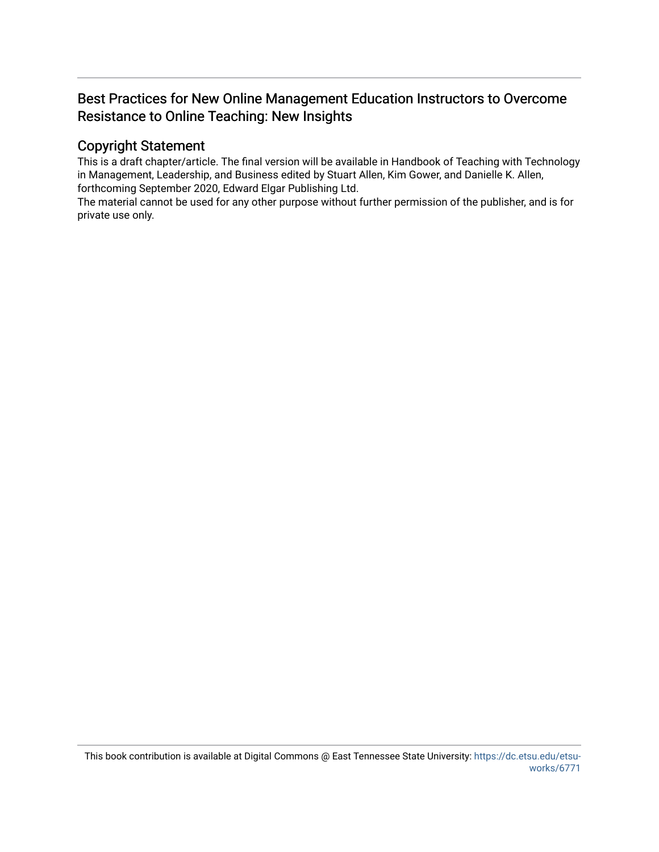# Best Practices for New Online Management Education Instructors to Overcome Resistance to Online Teaching: New Insights

# Copyright Statement

This is a draft chapter/article. The final version will be available in Handbook of Teaching with Technology in Management, Leadership, and Business edited by Stuart Allen, Kim Gower, and Danielle K. Allen, forthcoming September 2020, Edward Elgar Publishing Ltd.

The material cannot be used for any other purpose without further permission of the publisher, and is for private use only.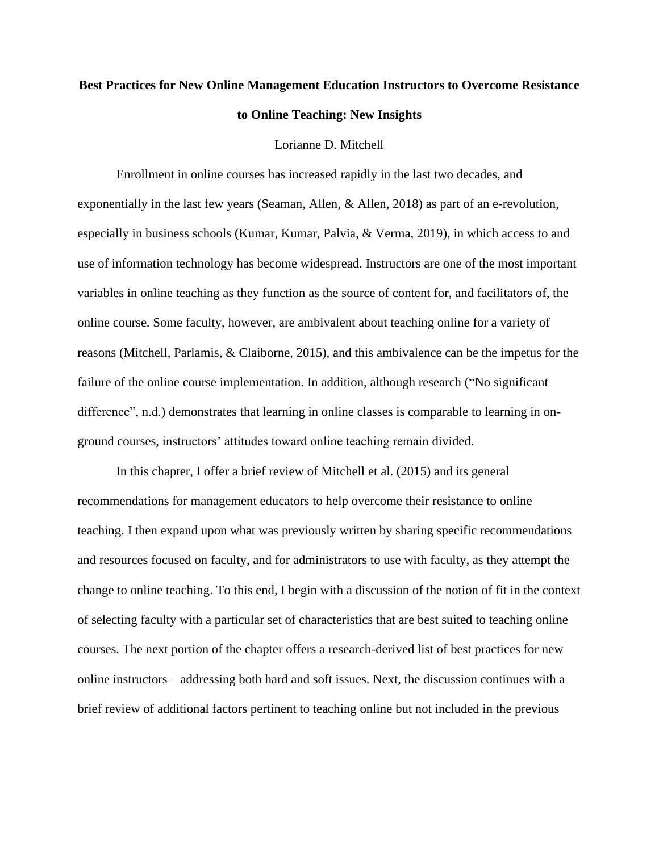# **Best Practices for New Online Management Education Instructors to Overcome Resistance to Online Teaching: New Insights**

#### Lorianne D. Mitchell

Enrollment in online courses has increased rapidly in the last two decades, and exponentially in the last few years (Seaman, Allen, & Allen, 2018) as part of an e-revolution, especially in business schools (Kumar, Kumar, Palvia, & Verma, 2019), in which access to and use of information technology has become widespread. Instructors are one of the most important variables in online teaching as they function as the source of content for, and facilitators of, the online course. Some faculty, however, are ambivalent about teaching online for a variety of reasons (Mitchell, Parlamis, & Claiborne, 2015), and this ambivalence can be the impetus for the failure of the online course implementation. In addition, although research ("No significant difference", n.d.) demonstrates that learning in online classes is comparable to learning in onground courses, instructors' attitudes toward online teaching remain divided.

In this chapter, I offer a brief review of Mitchell et al. (2015) and its general recommendations for management educators to help overcome their resistance to online teaching. I then expand upon what was previously written by sharing specific recommendations and resources focused on faculty, and for administrators to use with faculty, as they attempt the change to online teaching. To this end, I begin with a discussion of the notion of fit in the context of selecting faculty with a particular set of characteristics that are best suited to teaching online courses. The next portion of the chapter offers a research-derived list of best practices for new online instructors – addressing both hard and soft issues. Next, the discussion continues with a brief review of additional factors pertinent to teaching online but not included in the previous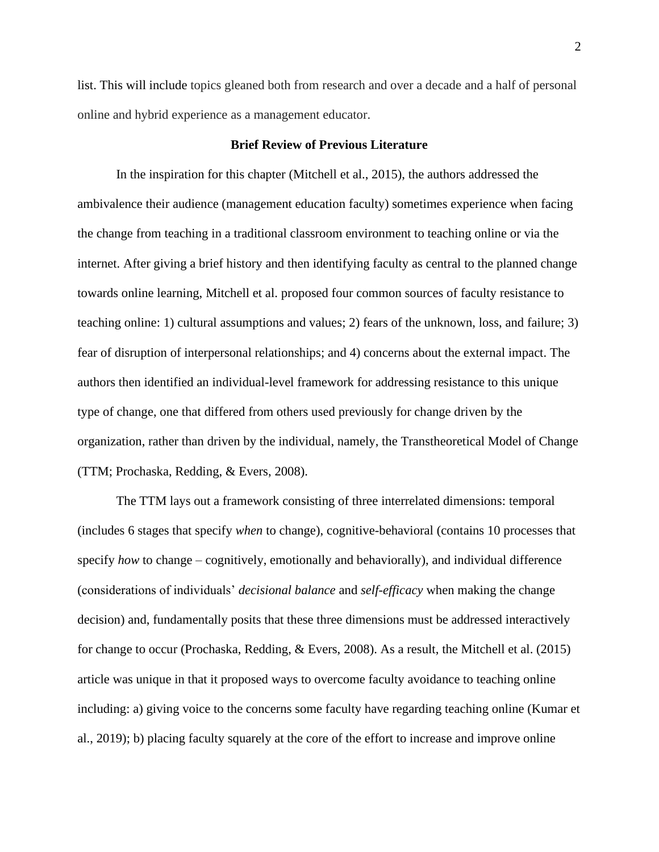list. This will include topics gleaned both from research and over a decade and a half of personal online and hybrid experience as a management educator.

### **Brief Review of Previous Literature**

In the inspiration for this chapter (Mitchell et al., 2015), the authors addressed the ambivalence their audience (management education faculty) sometimes experience when facing the change from teaching in a traditional classroom environment to teaching online or via the internet. After giving a brief history and then identifying faculty as central to the planned change towards online learning, Mitchell et al. proposed four common sources of faculty resistance to teaching online: 1) cultural assumptions and values; 2) fears of the unknown, loss, and failure; 3) fear of disruption of interpersonal relationships; and 4) concerns about the external impact. The authors then identified an individual-level framework for addressing resistance to this unique type of change, one that differed from others used previously for change driven by the organization, rather than driven by the individual, namely, the Transtheoretical Model of Change (TTM; Prochaska, Redding, & Evers, 2008).

The TTM lays out a framework consisting of three interrelated dimensions: temporal (includes 6 stages that specify *when* to change), cognitive-behavioral (contains 10 processes that specify *how* to change – cognitively, emotionally and behaviorally), and individual difference (considerations of individuals' *decisional balance* and *self-efficacy* when making the change decision) and, fundamentally posits that these three dimensions must be addressed interactively for change to occur (Prochaska, Redding, & Evers, 2008). As a result, the Mitchell et al. (2015) article was unique in that it proposed ways to overcome faculty avoidance to teaching online including: a) giving voice to the concerns some faculty have regarding teaching online (Kumar et al., 2019); b) placing faculty squarely at the core of the effort to increase and improve online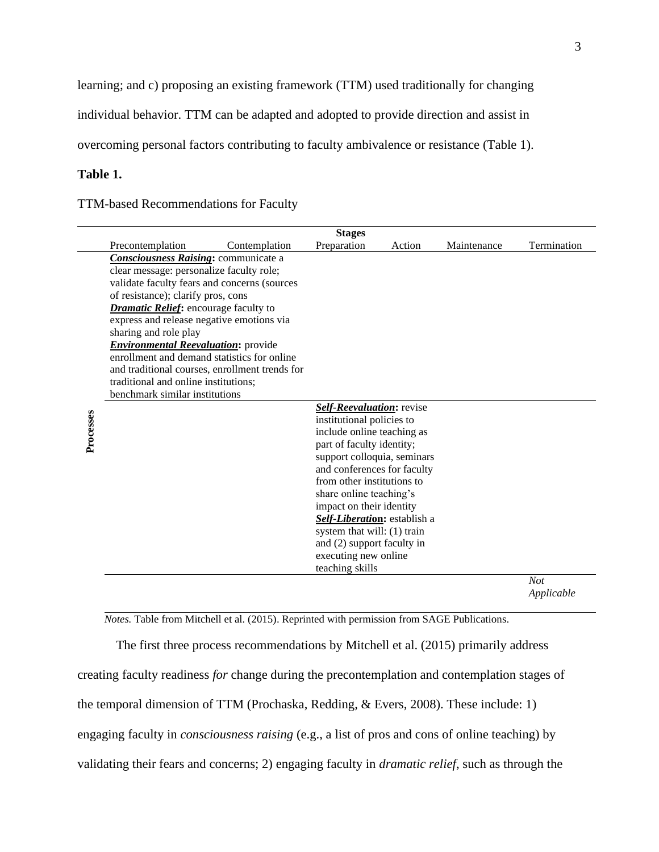learning; and c) proposing an existing framework (TTM) used traditionally for changing

individual behavior. TTM can be adapted and adopted to provide direction and assist in

overcoming personal factors contributing to faculty ambivalence or resistance (Table 1).

# **Table 1.**

TTM-based Recommendations for Faculty

|           | <b>Stages</b>                                  |                      |                              |        |             |             |
|-----------|------------------------------------------------|----------------------|------------------------------|--------|-------------|-------------|
|           | Precontemplation                               | Contemplation        | Preparation                  | Action | Maintenance | Termination |
|           | <b>Consciousness Raising:</b> communicate a    |                      |                              |        |             |             |
|           | clear message: personalize faculty role;       |                      |                              |        |             |             |
|           | validate faculty fears and concerns (sources   |                      |                              |        |             |             |
|           | of resistance); clarify pros, cons             |                      |                              |        |             |             |
|           | <b>Dramatic Relief:</b> encourage faculty to   |                      |                              |        |             |             |
|           | express and release negative emotions via      |                      |                              |        |             |             |
|           | sharing and role play                          |                      |                              |        |             |             |
|           | <b>Environmental Reevaluation:</b> provide     |                      |                              |        |             |             |
|           | enrollment and demand statistics for online    |                      |                              |        |             |             |
|           | and traditional courses, enrollment trends for |                      |                              |        |             |             |
|           | traditional and online institutions;           |                      |                              |        |             |             |
|           | benchmark similar institutions                 |                      |                              |        |             |             |
|           |                                                |                      | Self-Reevaluation: revise    |        |             |             |
|           |                                                |                      | institutional policies to    |        |             |             |
| Processes |                                                |                      | include online teaching as   |        |             |             |
|           |                                                |                      | part of faculty identity;    |        |             |             |
|           |                                                |                      | support colloquia, seminars  |        |             |             |
|           |                                                |                      | and conferences for faculty  |        |             |             |
|           |                                                |                      | from other institutions to   |        |             |             |
|           |                                                |                      | share online teaching's      |        |             |             |
|           |                                                |                      | impact on their identity     |        |             |             |
|           |                                                |                      | Self-Liberation: establish a |        |             |             |
|           |                                                |                      | system that will: (1) train  |        |             |             |
|           |                                                |                      | and (2) support faculty in   |        |             |             |
|           |                                                | executing new online |                              |        |             |             |
|           |                                                |                      | teaching skills              |        |             |             |
|           |                                                |                      |                              |        |             | Not         |
|           |                                                |                      |                              |        |             | Applicable  |

 *Notes.* Table from Mitchell et al. (2015). Reprinted with permission from SAGE Publications.

The first three process recommendations by Mitchell et al. (2015) primarily address creating faculty readiness *for* change during the precontemplation and contemplation stages of the temporal dimension of TTM (Prochaska, Redding, & Evers, 2008). These include: 1) engaging faculty in *consciousness raising* (e.g., a list of pros and cons of online teaching) by validating their fears and concerns; 2) engaging faculty in *dramatic relief*, such as through the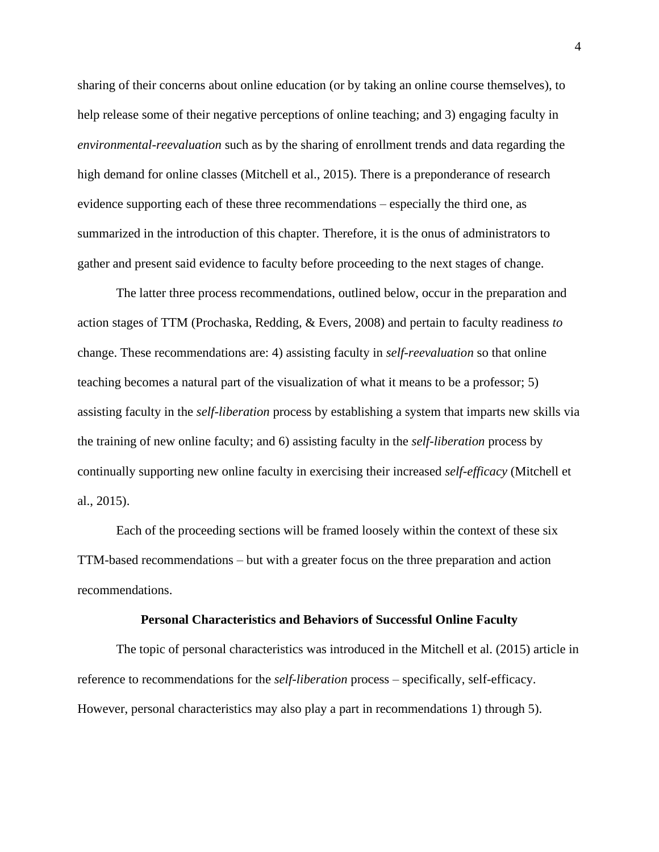sharing of their concerns about online education (or by taking an online course themselves), to help release some of their negative perceptions of online teaching; and 3) engaging faculty in *environmental-reevaluation* such as by the sharing of enrollment trends and data regarding the high demand for online classes (Mitchell et al., 2015). There is a preponderance of research evidence supporting each of these three recommendations – especially the third one, as summarized in the introduction of this chapter. Therefore, it is the onus of administrators to gather and present said evidence to faculty before proceeding to the next stages of change.

The latter three process recommendations, outlined below, occur in the preparation and action stages of TTM (Prochaska, Redding, & Evers, 2008) and pertain to faculty readiness *to* change. These recommendations are: 4) assisting faculty in *self-reevaluation* so that online teaching becomes a natural part of the visualization of what it means to be a professor; 5) assisting faculty in the *self-liberation* process by establishing a system that imparts new skills via the training of new online faculty; and 6) assisting faculty in the *self-liberation* process by continually supporting new online faculty in exercising their increased *self-efficacy* (Mitchell et al., 2015).

Each of the proceeding sections will be framed loosely within the context of these six TTM-based recommendations – but with a greater focus on the three preparation and action recommendations.

#### **Personal Characteristics and Behaviors of Successful Online Faculty**

The topic of personal characteristics was introduced in the Mitchell et al. (2015) article in reference to recommendations for the *self-liberation* process – specifically, self-efficacy. However, personal characteristics may also play a part in recommendations 1) through 5).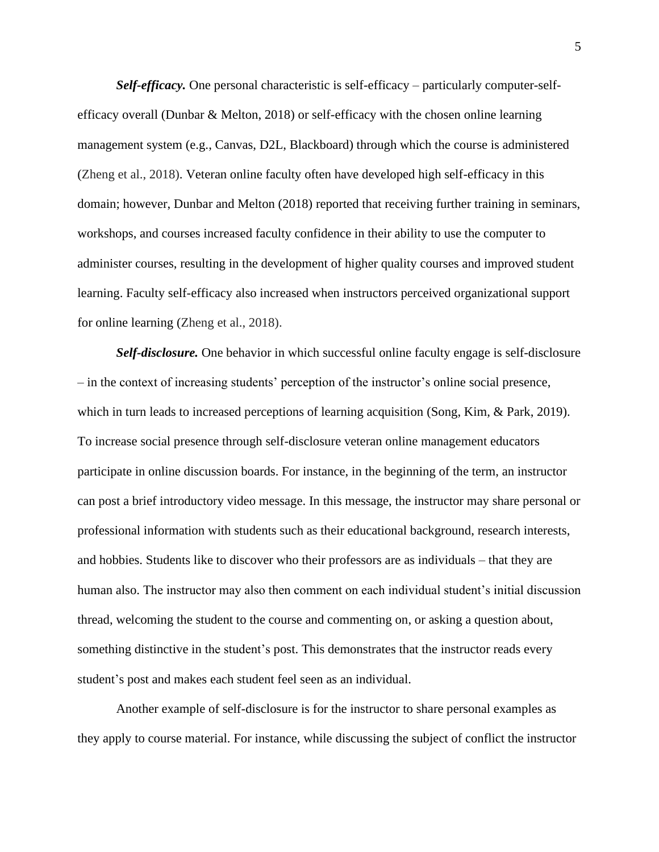*Self-efficacy.* One personal characteristic is self-efficacy – particularly computer-selfefficacy overall (Dunbar & Melton, 2018) or self-efficacy with the chosen online learning management system (e.g., Canvas, D2L, Blackboard) through which the course is administered (Zheng et al., 2018). Veteran online faculty often have developed high self-efficacy in this domain; however, Dunbar and Melton (2018) reported that receiving further training in seminars, workshops, and courses increased faculty confidence in their ability to use the computer to administer courses, resulting in the development of higher quality courses and improved student learning. Faculty self-efficacy also increased when instructors perceived organizational support for online learning (Zheng et al., 2018).

*Self-disclosure.* One behavior in which successful online faculty engage is self-disclosure – in the context of increasing students' perception of the instructor's online social presence, which in turn leads to increased perceptions of learning acquisition (Song, Kim, & Park, 2019). To increase social presence through self-disclosure veteran online management educators participate in online discussion boards. For instance, in the beginning of the term, an instructor can post a brief introductory video message. In this message, the instructor may share personal or professional information with students such as their educational background, research interests, and hobbies. Students like to discover who their professors are as individuals – that they are human also. The instructor may also then comment on each individual student's initial discussion thread, welcoming the student to the course and commenting on, or asking a question about, something distinctive in the student's post. This demonstrates that the instructor reads every student's post and makes each student feel seen as an individual.

Another example of self-disclosure is for the instructor to share personal examples as they apply to course material. For instance, while discussing the subject of conflict the instructor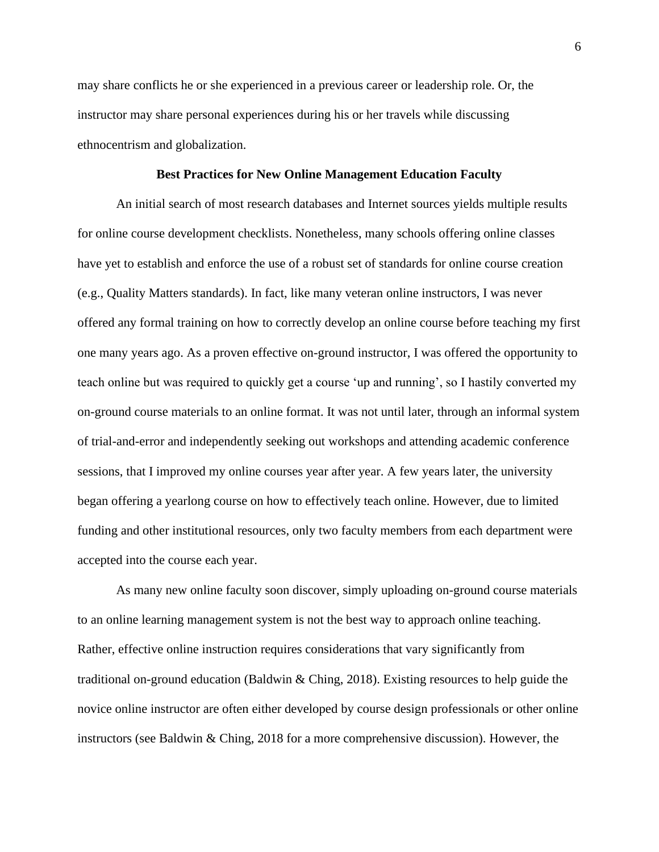may share conflicts he or she experienced in a previous career or leadership role. Or, the instructor may share personal experiences during his or her travels while discussing ethnocentrism and globalization.

### **Best Practices for New Online Management Education Faculty**

An initial search of most research databases and Internet sources yields multiple results for online course development checklists. Nonetheless, many schools offering online classes have yet to establish and enforce the use of a robust set of standards for online course creation (e.g., Quality Matters standards). In fact, like many veteran online instructors, I was never offered any formal training on how to correctly develop an online course before teaching my first one many years ago. As a proven effective on-ground instructor, I was offered the opportunity to teach online but was required to quickly get a course 'up and running', so I hastily converted my on-ground course materials to an online format. It was not until later, through an informal system of trial-and-error and independently seeking out workshops and attending academic conference sessions, that I improved my online courses year after year. A few years later, the university began offering a yearlong course on how to effectively teach online. However, due to limited funding and other institutional resources, only two faculty members from each department were accepted into the course each year.

As many new online faculty soon discover, simply uploading on-ground course materials to an online learning management system is not the best way to approach online teaching. Rather, effective online instruction requires considerations that vary significantly from traditional on-ground education (Baldwin & Ching, 2018). Existing resources to help guide the novice online instructor are often either developed by course design professionals or other online instructors (see Baldwin & Ching, 2018 for a more comprehensive discussion). However, the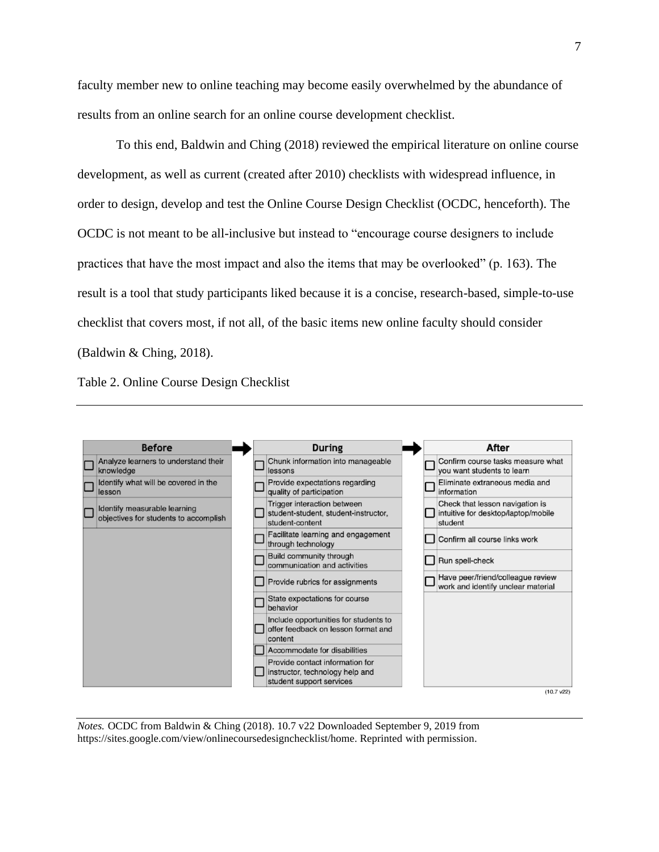faculty member new to online teaching may become easily overwhelmed by the abundance of results from an online search for an online course development checklist.

To this end, Baldwin and Ching (2018) reviewed the empirical literature on online course development, as well as current (created after 2010) checklists with widespread influence, in order to design, develop and test the Online Course Design Checklist (OCDC, henceforth). The OCDC is not meant to be all-inclusive but instead to "encourage course designers to include practices that have the most impact and also the items that may be overlooked" (p. 163). The result is a tool that study participants liked because it is a concise, research-based, simple-to-use checklist that covers most, if not all, of the basic items new online faculty should consider (Baldwin & Ching, 2018).

Table 2. Online Course Design Checklist



*Notes.* OCDC from Baldwin & Ching (2018). 10.7 v22 Downloaded September 9, 2019 from https://sites.google.com/view/onlinecoursedesignchecklist/home. Reprinted with permission.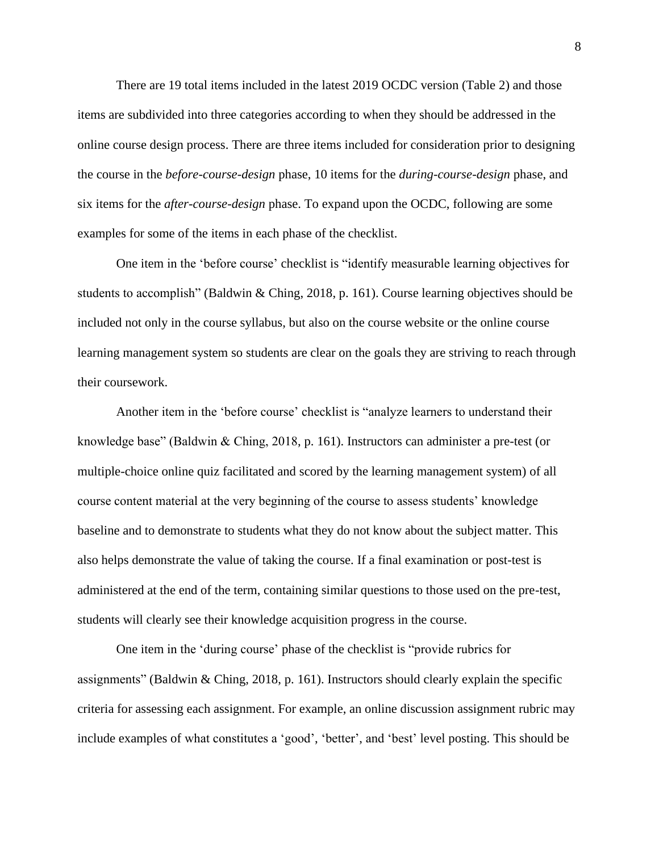There are 19 total items included in the latest 2019 OCDC version (Table 2) and those items are subdivided into three categories according to when they should be addressed in the online course design process. There are three items included for consideration prior to designing the course in the *before-course-design* phase, 10 items for the *during-course-design* phase, and six items for the *after-course-design* phase. To expand upon the OCDC, following are some examples for some of the items in each phase of the checklist.

One item in the 'before course' checklist is "identify measurable learning objectives for students to accomplish" (Baldwin & Ching, 2018, p. 161). Course learning objectives should be included not only in the course syllabus, but also on the course website or the online course learning management system so students are clear on the goals they are striving to reach through their coursework.

Another item in the 'before course' checklist is "analyze learners to understand their knowledge base" (Baldwin & Ching, 2018, p. 161). Instructors can administer a pre-test (or multiple-choice online quiz facilitated and scored by the learning management system) of all course content material at the very beginning of the course to assess students' knowledge baseline and to demonstrate to students what they do not know about the subject matter. This also helps demonstrate the value of taking the course. If a final examination or post-test is administered at the end of the term, containing similar questions to those used on the pre-test, students will clearly see their knowledge acquisition progress in the course.

One item in the 'during course' phase of the checklist is "provide rubrics for assignments" (Baldwin & Ching, 2018, p. 161). Instructors should clearly explain the specific criteria for assessing each assignment. For example, an online discussion assignment rubric may include examples of what constitutes a 'good', 'better', and 'best' level posting. This should be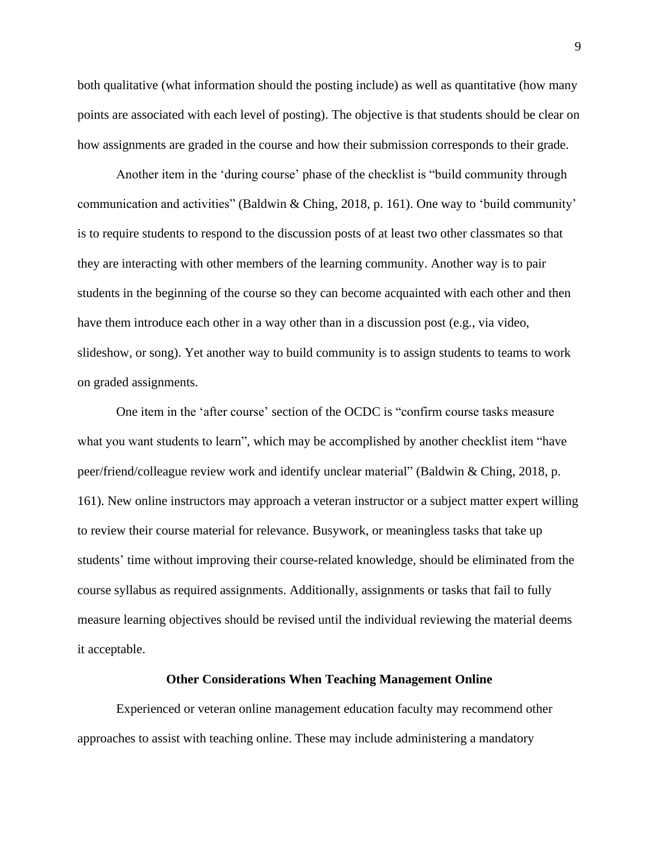both qualitative (what information should the posting include) as well as quantitative (how many points are associated with each level of posting). The objective is that students should be clear on how assignments are graded in the course and how their submission corresponds to their grade.

Another item in the 'during course' phase of the checklist is "build community through communication and activities" (Baldwin & Ching, 2018, p. 161). One way to 'build community' is to require students to respond to the discussion posts of at least two other classmates so that they are interacting with other members of the learning community. Another way is to pair students in the beginning of the course so they can become acquainted with each other and then have them introduce each other in a way other than in a discussion post (e.g., via video, slideshow, or song). Yet another way to build community is to assign students to teams to work on graded assignments.

One item in the 'after course' section of the OCDC is "confirm course tasks measure what you want students to learn", which may be accomplished by another checklist item "have peer/friend/colleague review work and identify unclear material" (Baldwin & Ching, 2018, p. 161). New online instructors may approach a veteran instructor or a subject matter expert willing to review their course material for relevance. Busywork, or meaningless tasks that take up students' time without improving their course-related knowledge, should be eliminated from the course syllabus as required assignments. Additionally, assignments or tasks that fail to fully measure learning objectives should be revised until the individual reviewing the material deems it acceptable.

#### **Other Considerations When Teaching Management Online**

Experienced or veteran online management education faculty may recommend other approaches to assist with teaching online. These may include administering a mandatory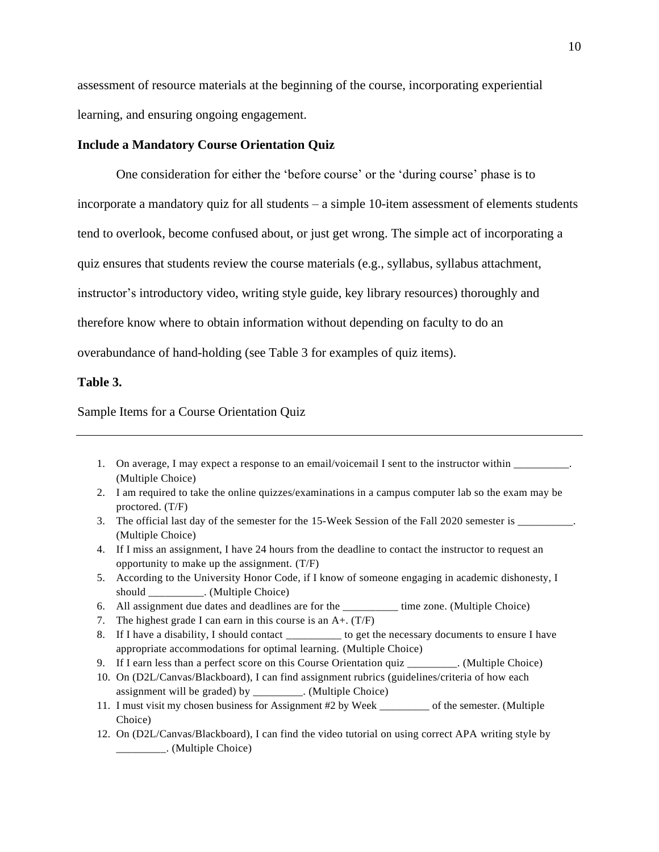assessment of resource materials at the beginning of the course, incorporating experiential learning, and ensuring ongoing engagement.

### **Include a Mandatory Course Orientation Quiz**

One consideration for either the 'before course' or the 'during course' phase is to incorporate a mandatory quiz for all students – a simple 10-item assessment of elements students tend to overlook, become confused about, or just get wrong. The simple act of incorporating a quiz ensures that students review the course materials (e.g., syllabus, syllabus attachment, instructor's introductory video, writing style guide, key library resources) thoroughly and therefore know where to obtain information without depending on faculty to do an overabundance of hand-holding (see Table 3 for examples of quiz items).

### **Table 3.**

Sample Items for a Course Orientation Quiz

- 1. On average, I may expect a response to an email/voicemail I sent to the instructor within  $\cdot$ (Multiple Choice)
- 2. I am required to take the online quizzes/examinations in a campus computer lab so the exam may be proctored. (T/F)
- 3. The official last day of the semester for the 15-Week Session of the Fall 2020 semester is \_\_\_\_\_\_\_\_\_. (Multiple Choice)
- 4. If I miss an assignment, I have 24 hours from the deadline to contact the instructor to request an opportunity to make up the assignment. (T/F)
- 5. According to the University Honor Code, if I know of someone engaging in academic dishonesty, I should \_\_\_\_\_\_\_\_\_\_. (Multiple Choice)
- 6. All assignment due dates and deadlines are for the \_\_\_\_\_\_\_\_\_\_ time zone. (Multiple Choice)
- 7. The highest grade I can earn in this course is an A+. (T/F)
- 8. If I have a disability, I should contact the necessary documents to ensure I have appropriate accommodations for optimal learning. (Multiple Choice)
- 9. If I earn less than a perfect score on this Course Orientation quiz \_\_\_\_\_\_\_\_\_. (Multiple Choice)
- 10. On (D2L/Canvas/Blackboard), I can find assignment rubrics (guidelines/criteria of how each assignment will be graded) by \_\_\_\_\_\_\_\_\_. (Multiple Choice)
- 11. I must visit my chosen business for Assignment #2 by Week of the semester. (Multiple Choice)
- 12. On (D2L/Canvas/Blackboard), I can find the video tutorial on using correct APA writing style by \_\_\_\_\_\_\_\_\_. (Multiple Choice)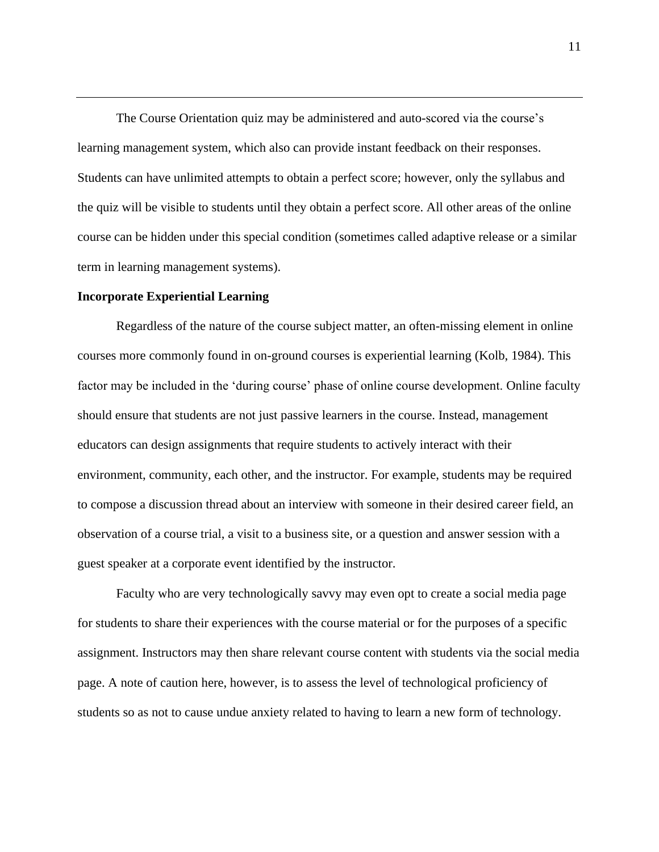The Course Orientation quiz may be administered and auto-scored via the course's learning management system, which also can provide instant feedback on their responses. Students can have unlimited attempts to obtain a perfect score; however, only the syllabus and the quiz will be visible to students until they obtain a perfect score. All other areas of the online course can be hidden under this special condition (sometimes called adaptive release or a similar term in learning management systems).

# **Incorporate Experiential Learning**

Regardless of the nature of the course subject matter, an often-missing element in online courses more commonly found in on-ground courses is experiential learning (Kolb, 1984). This factor may be included in the 'during course' phase of online course development. Online faculty should ensure that students are not just passive learners in the course. Instead, management educators can design assignments that require students to actively interact with their environment, community, each other, and the instructor. For example, students may be required to compose a discussion thread about an interview with someone in their desired career field, an observation of a course trial, a visit to a business site, or a question and answer session with a guest speaker at a corporate event identified by the instructor.

Faculty who are very technologically savvy may even opt to create a social media page for students to share their experiences with the course material or for the purposes of a specific assignment. Instructors may then share relevant course content with students via the social media page. A note of caution here, however, is to assess the level of technological proficiency of students so as not to cause undue anxiety related to having to learn a new form of technology.

11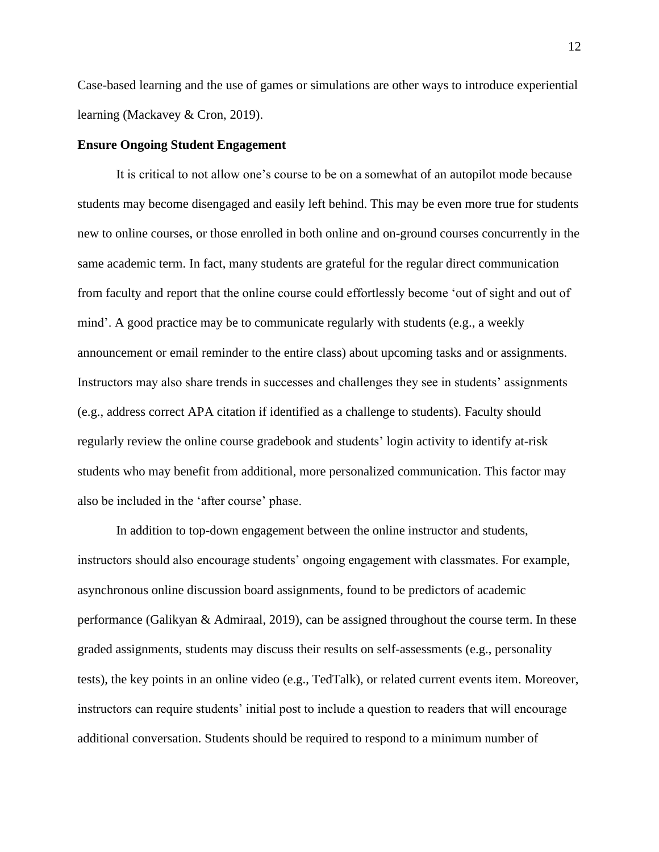Case-based learning and the use of games or simulations are other ways to introduce experiential learning (Mackavey & Cron, 2019).

#### **Ensure Ongoing Student Engagement**

It is critical to not allow one's course to be on a somewhat of an autopilot mode because students may become disengaged and easily left behind. This may be even more true for students new to online courses, or those enrolled in both online and on-ground courses concurrently in the same academic term. In fact, many students are grateful for the regular direct communication from faculty and report that the online course could effortlessly become 'out of sight and out of mind'. A good practice may be to communicate regularly with students (e.g., a weekly announcement or email reminder to the entire class) about upcoming tasks and or assignments. Instructors may also share trends in successes and challenges they see in students' assignments (e.g., address correct APA citation if identified as a challenge to students). Faculty should regularly review the online course gradebook and students' login activity to identify at-risk students who may benefit from additional, more personalized communication. This factor may also be included in the 'after course' phase.

In addition to top-down engagement between the online instructor and students, instructors should also encourage students' ongoing engagement with classmates. For example, asynchronous online discussion board assignments, found to be predictors of academic performance (Galikyan & Admiraal, 2019), can be assigned throughout the course term. In these graded assignments, students may discuss their results on self-assessments (e.g., personality tests), the key points in an online video (e.g., TedTalk), or related current events item. Moreover, instructors can require students' initial post to include a question to readers that will encourage additional conversation. Students should be required to respond to a minimum number of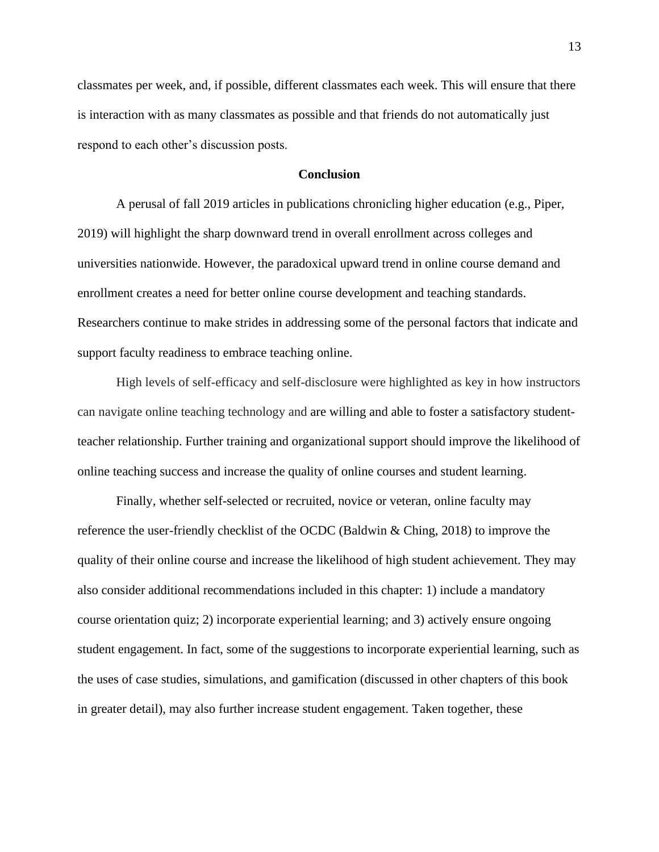classmates per week, and, if possible, different classmates each week. This will ensure that there is interaction with as many classmates as possible and that friends do not automatically just respond to each other's discussion posts.

## **Conclusion**

A perusal of fall 2019 articles in publications chronicling higher education (e.g., Piper, 2019) will highlight the sharp downward trend in overall enrollment across colleges and universities nationwide. However, the paradoxical upward trend in online course demand and enrollment creates a need for better online course development and teaching standards. Researchers continue to make strides in addressing some of the personal factors that indicate and support faculty readiness to embrace teaching online.

High levels of self-efficacy and self-disclosure were highlighted as key in how instructors can navigate online teaching technology and are willing and able to foster a satisfactory studentteacher relationship. Further training and organizational support should improve the likelihood of online teaching success and increase the quality of online courses and student learning.

Finally, whether self-selected or recruited, novice or veteran, online faculty may reference the user-friendly checklist of the OCDC (Baldwin & Ching, 2018) to improve the quality of their online course and increase the likelihood of high student achievement. They may also consider additional recommendations included in this chapter: 1) include a mandatory course orientation quiz; 2) incorporate experiential learning; and 3) actively ensure ongoing student engagement. In fact, some of the suggestions to incorporate experiential learning, such as the uses of case studies, simulations, and gamification (discussed in other chapters of this book in greater detail), may also further increase student engagement. Taken together, these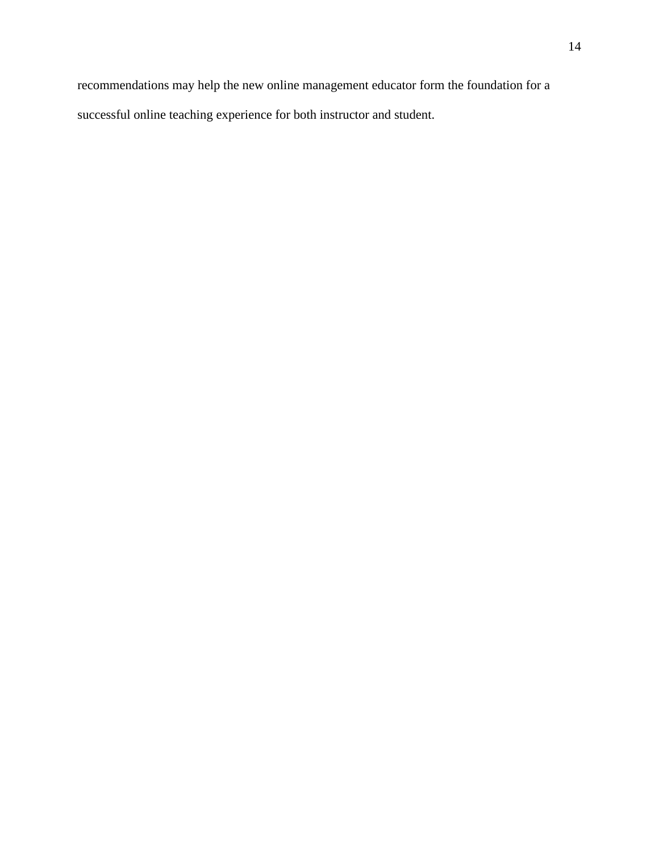recommendations may help the new online management educator form the foundation for a successful online teaching experience for both instructor and student.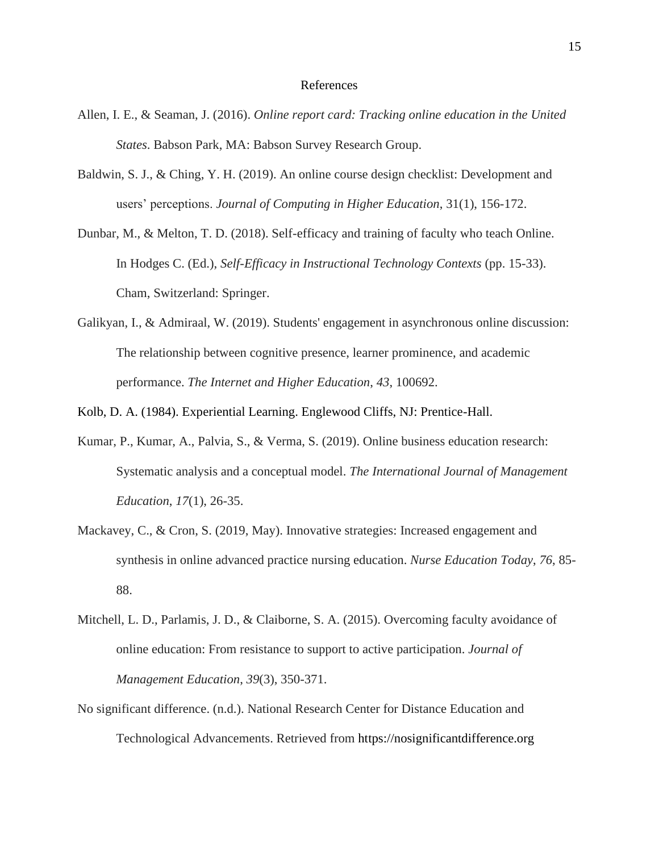#### References

- Allen, I. E., & Seaman, J. (2016). *Online report card: Tracking online education in the United States*. Babson Park, MA: Babson Survey Research Group.
- Baldwin, S. J., & Ching, Y. H. (2019). An online course design checklist: Development and users' perceptions. *Journal of Computing in Higher Education*, 31(1), 156-172.
- Dunbar, M., & Melton, T. D. (2018). Self-efficacy and training of faculty who teach Online. In Hodges C. (Ed.), *Self-Efficacy in Instructional Technology Contexts* (pp. 15-33). Cham, Switzerland: Springer.
- Galikyan, I., & Admiraal, W. (2019). Students' engagement in asynchronous online discussion: The relationship between cognitive presence, learner prominence, and academic performance. *The Internet and Higher Education*, *43*, 100692.

Kolb, D. A. (1984). Experiential Learning. Englewood Cliffs, NJ: Prentice-Hall.

- Kumar, P., Kumar, A., Palvia, S., & Verma, S. (2019). Online business education research: Systematic analysis and a conceptual model. *The International Journal of Management Education*, *17*(1), 26-35.
- Mackavey, C., & Cron, S. (2019, May). Innovative strategies: Increased engagement and synthesis in online advanced practice nursing education. *Nurse Education Today*, *76*, 85- 88.
- Mitchell, L. D., Parlamis, J. D., & Claiborne, S. A. (2015). Overcoming faculty avoidance of online education: From resistance to support to active participation. *Journal of Management Education*, *39*(3), 350-371.
- No significant difference. (n.d.). National Research Center for Distance Education and Technological Advancements. Retrieved from https://nosignificantdifference.org